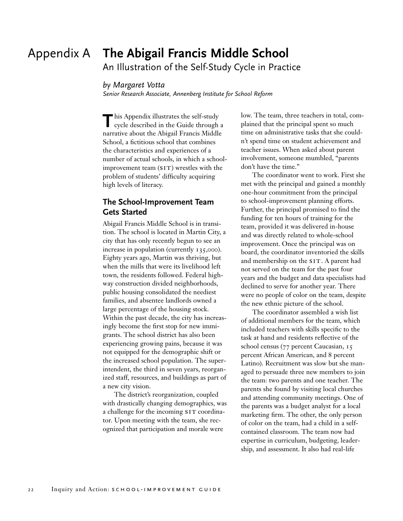# Appendix A **The Abigail Francis Middle School**

An Illustration of the Self-Study Cycle in Practice

#### *by Margaret Votta*

*Senior Research Associate, Annenberg Institute for School Reform*

**T** his Appendix illustrates the self-study cycle described in the Guide through a narrative about the Abigail Francis Middle School, a fictitious school that combines the characteristics and experiences of a number of actual schools, in which a school $improvement team (SIT)$  wrestles with the problem of students' difficulty acquiring high levels of literacy.

# **The School-Improvement Team Gets Started**

Abigail Francis Middle School is in transition. The school is located in Martin City, a city that has only recently begun to see an increase in population (currently 135,000). Eighty years ago, Martin was thriving, but when the mills that were its livelihood left town, the residents followed. Federal highway construction divided neighborhoods, public housing consolidated the neediest families, and absentee landlords owned a large percentage of the housing stock. Within the past decade, the city has increasingly become the first stop for new immigrants. The school district has also been experiencing growing pains, because it was not equipped for the demographic shift or the increased school population. The superintendent, the third in seven years, reorganized staff, resources, and buildings as part of a new city vision.

The district's reorganization, coupled with drastically changing demographics, was a challenge for the incoming SIT coordinator. Upon meeting with the team, she recognized that participation and morale were

low. The team, three teachers in total, complained that the principal spent so much time on administrative tasks that she couldn't spend time on student achievement and teacher issues. When asked about parent involvement, someone mumbled, "parents don't have the time."

The coordinator went to work. First she met with the principal and gained a monthly one-hour commitment from the principal to school-improvement planning efforts. Further, the principal promised to find the funding for ten hours of training for the team, provided it was delivered in-house and was directly related to whole-school improvement. Once the principal was on board, the coordinator inventoried the skills and membership on the SIT. A parent had not served on the team for the past four years and the budget and data specialists had declined to serve for another year. There were no people of color on the team, despite the new ethnic picture of the school.

The coordinator assembled a wish list of additional members for the team, which included teachers with skills specific to the task at hand and residents reflective of the school census (77 percent Caucasian, 15 percent African American, and 8 percent Latino). Recruitment was slow but she managed to persuade three new members to join the team: two parents and one teacher. The parents she found by visiting local churches and attending community meetings. One of the parents was a budget analyst for a local marketing firm. The other, the only person of color on the team, had a child in a selfcontained classroom. The team now had expertise in curriculum, budgeting, leadership, and assessment. It also had real-life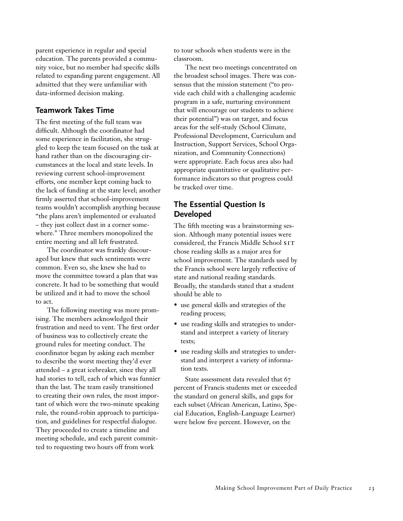parent experience in regular and special education. The parents provided a community voice, but no member had specific skills related to expanding parent engagement. All admitted that they were unfamiliar with data-informed decision making.

## **Teamwork Takes Time**

The first meeting of the full team was difficult. Although the coordinator had some experience in facilitation, she struggled to keep the team focused on the task at hand rather than on the discouraging circumstances at the local and state levels. In reviewing current school-improvement efforts, one member kept coming back to the lack of funding at the state level; another firmly asserted that school-improvement teams wouldn't accomplish anything because "the plans aren't implemented or evaluated – they just collect dust in a corner somewhere." Three members monopolized the entire meeting and all left frustrated.

The coordinator was frankly discouraged but knew that such sentiments were common. Even so, she knew she had to move the committee toward a plan that was concrete. It had to be something that would be utilized and it had to move the school to act.

The following meeting was more promising. The members acknowledged their frustration and need to vent. The first order of business was to collectively create the ground rules for meeting conduct. The coordinator began by asking each member to describe the worst meeting they'd ever attended – a great icebreaker, since they all had stories to tell, each of which was funnier than the last. The team easily transitioned to creating their own rules, the most important of which were the two-minute speaking rule, the round-robin approach to participation, and guidelines for respectful dialogue. They proceeded to create a timeline and meeting schedule, and each parent committed to requesting two hours off from work

to tour schools when students were in the classroom.

The next two meetings concentrated on the broadest school images. There was consensus that the mission statement ("to provide each child with a challenging academic program in a safe, nurturing environment that will encourage our students to achieve their potential") was on target, and focus areas for the self-study (School Climate, Professional Development, Curriculum and Instruction, Support Services, School Organization, and Community Connections) were appropriate. Each focus area also had appropriate quantitative or qualitative performance indicators so that progress could be tracked over time.

## **The Essential Question Is Developed**

The fifth meeting was a brainstorming session. Although many potential issues were considered, the Francis Middle School SIT chose reading skills as a major area for school improvement. The standards used by the Francis school were largely reflective of state and national reading standards. Broadly, the standards stated that a student should be able to

- use general skills and strategies of the reading process;
- use reading skills and strategies to understand and interpret a variety of literary texts;
- use reading skills and strategies to understand and interpret a variety of information texts.

State assessment data revealed that 67 percent of Francis students met or exceeded the standard on general skills, and gaps for each subset (African American, Latino, Special Education, English-Language Learner) were below five percent. However, on the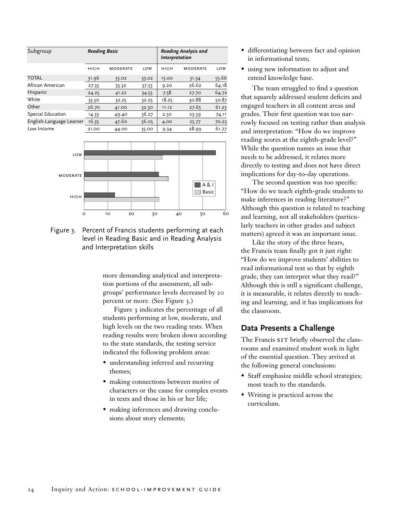| Subgroup                 | <b>Reading Basic</b> |                 |            | <b>Reading Analysis and</b><br>Interpretation |                 |       |
|--------------------------|----------------------|-----------------|------------|-----------------------------------------------|-----------------|-------|
|                          |                      |                 |            |                                               |                 |       |
|                          | <b>HIGH</b>          | <b>MODERATE</b> | <b>LOW</b> | HIGH                                          | <b>MODERATE</b> | LOW   |
| <b>TOTAL</b>             | 31.96                | 35.02           | 33.02      | 13.00                                         | 31.34           | 55.66 |
| African American         | 27.35                | 35.32           | 37.33      | 9.20                                          | 26.62           | 64.18 |
| Hispanic                 | 24.25                | 41.22           | 34.53      | 7.58                                          | 27.70           | 64.72 |
| White                    | 35.50                | 32.25           | 32.25      | 18.25                                         | 30.88           | 50.87 |
| Other                    | 26.70                | 41.00           | 32.30      | 11.12                                         | 27.65           | 61.23 |
| Special Education        | 14.33                | 49.40           | 36.27      | 2.50                                          | 23.39           | 74.11 |
| English-Language Learner | 16.35                | 47.60           | 36.05      | 4.00                                          | 25.77           | 70.23 |
| Low Income               | 21.00                | 44.00           | 35.00      | 9.34                                          | 28.99           | 61.77 |



Figure 3. Percent of Francis students performing at each level in Reading Basic and in Reading Analysis and Interpretation skills

more demanding analytical and interpretation portions of the assessment, all subgroups' performance levels decreased by 20 percent or more. (See Figure 3.)

Figure 3 indicates the percentage of all students performing at low, moderate, and high levels on the two reading tests. When reading results were broken down according to the state standards, the testing service indicated the following problem areas:

- understanding inferred and recurring themes;
- making connections between motive of characters or the cause for complex events in texts and those in his or her life;
- making inferences and drawing conclusions about story elements;
- differentiating between fact and opinion in informational texts;
- using new information to adjust and extend knowledge base.

The team struggled to find a question that squarely addressed student deficits and engaged teachers in all content areas and grades. Their first question was too narrowly focused on testing rather than analysis and interpretation: "How do we improve reading scores at the eighth-grade level?" While the question names an issue that needs to be addressed, it relates more directly to testing and does not have direct implications for day-to-day operations.

The second question was too specific: "How do we teach eighth-grade students to make inferences in reading literature?" Although this question is related to teaching and learning, not all stakeholders (particularly teachers in other grades and subject matters) agreed it was an important issue.

Like the story of the three bears, the Francis team finally got it just right: "How do we improve students' abilities to read informational text so that by eighth grade, they can interpret what they read?" Although this is still a significant challenge, it is measurable, it relates directly to teaching and learning, and it has implications for the classroom.

## **Data Presents a Challenge**

The Francis SIT briefly observed the classrooms and examined student work in light of the essential question. They arrived at the following general conclusions:

- Staff emphasize middle school strategies; most teach to the standards.
- Writing is practiced across the curriculum.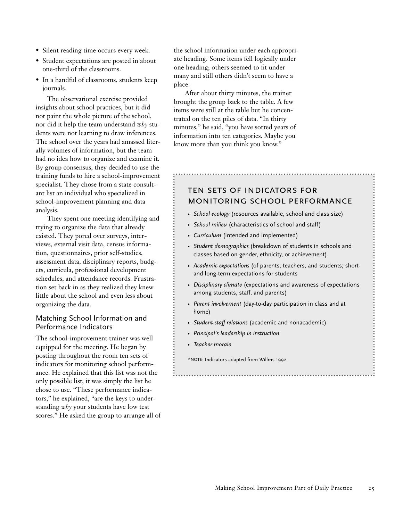- Silent reading time occurs every week.
- Student expectations are posted in about one-third of the classrooms.
- In a handful of classrooms, students keep journals.

The observational exercise provided insights about school practices, but it did not paint the whole picture of the school, nor did it help the team understand *why* students were not learning to draw inferences. The school over the years had amassed literally volumes of information, but the team had no idea how to organize and examine it. By group consensus, they decided to use the training funds to hire a school-improvement specialist. They chose from a state consultant list an individual who specialized in school-improvement planning and data analysis.

They spent one meeting identifying and trying to organize the data that already existed. They pored over surveys, interviews, external visit data, census information, questionnaires, prior self-studies, assessment data, disciplinary reports, budgets, curricula, professional development schedules, and attendance records. Frustration set back in as they realized they knew little about the school and even less about organizing the data.

## Matching School Information and Performance Indicators

The school-improvement trainer was well equipped for the meeting. He began by posting throughout the room ten sets of indicators for monitoring school performance. He explained that this list was not the only possible list; it was simply the list he chose to use. "These performance indicators," he explained, "are the keys to understanding *why* your students have low test scores." He asked the group to arrange all of the school information under each appropriate heading. Some items fell logically under one heading; others seemed to fit under many and still others didn't seem to have a place.

After about thirty minutes, the trainer brought the group back to the table. A few items were still at the table but he concentrated on the ten piles of data. "In thirty minutes," he said, "you have sorted years of information into ten categories. Maybe you know more than you think you know."

# ten sets of indicators for monitoring school performance

- *School ecology* (resources available, school and class size)
- *School milieu* (characteristics of school and staff)
- *Curriculum* (intended and implemented)
- *Student demographics* (breakdown of students in schools and classes based on gender, ethnicity, or achievement)
- *Academic expectations* (of parents, teachers, and students; shortand long-term expectations for students
- *Disciplinary climate* (expectations and awareness of expectations among students, staff, and parents)

- *Parent involvement* (day-to-day participation in class and at home)
- *Student-staff relations* (academic and nonacademic)
- *Principal's leadership in instruction*
- *Teacher morale*

\*NOTE: Indicators adapted from Willms 1992.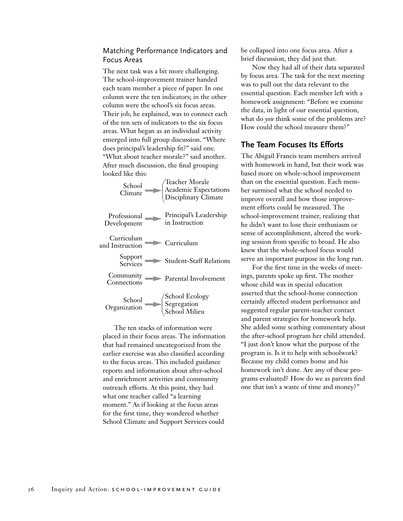## Matching Performance Indicators and Focus Areas

The next task was a bit more challenging. The school-improvement trainer handed each team member a piece of paper. In one column were the ten indicators; in the other column were the school's six focus areas. Their job, he explained, was to connect each of the ten sets of indicators to the six focus areas. What began as an individual activity emerged into full group discussion. "Where does principal's leadership fit?" said one. "What about teacher morale?" said another. After much discussion, the final grouping looked like this:

| School                        | Teacher Morale                                |
|-------------------------------|-----------------------------------------------|
| Climate                       | Academic Expectations<br>Disciplinary Climate |
| Professional                  | Principal's Leadership                        |
| Development                   | in Instruction                                |
| Curriculum<br>and Instruction | Curriculum                                    |
| Support<br>Services           | <b>Student-Staff Relations</b>                |
| Community<br>Connections      | Parental Involvement                          |
| School                        | School Ecology<br>Segregation                 |
| Organization                  | School Milieu                                 |

The ten stacks of information were placed in their focus areas. The information that had remained uncategorized from the earlier exercise was also classified according to the focus areas. This included guidance reports and information about after-school and enrichment activities and community outreach efforts. At this point, they had what one teacher called "a learning moment." As if looking at the focus areas for the first time, they wondered whether School Climate and Support Services could

be collapsed into one focus area. After a brief discussion, they did just that.

Now they had all of their data separated by focus area. The task for the next meeting was to pull out the data relevant to the essential question. Each member left with a homework assignment: "Before we examine the data, in light of our essential question, what do *you* think some of the problems are? How could the school measure them?"

### **The Team Focuses Its Efforts**

The Abigail Francis team members arrived with homework in hand, but their work was based more on whole-school improvement than on the essential question. Each member surmised what the school needed to improve overall and how those improvement efforts could be measured. The school-improvement trainer, realizing that he didn't want to lose their enthusiasm or sense of accomplishment, altered the working session from specific to broad. He also knew that the whole-school focus would serve an important purpose in the long run.

For the first time in the weeks of meetings, parents spoke up first. The mother whose child was in special education asserted that the school-home connection certainly affected student performance and suggested regular parent-teacher contact and parent strategies for homework help. She added some scathing commentary about the after-school program her child attended. "I just don't know what the purpose of the program is. Is it to help with schoolwork? Because my child comes home and his homework isn't done. Are any of these programs evaluated? How do we as parents find one that isn't a waste of time and money?"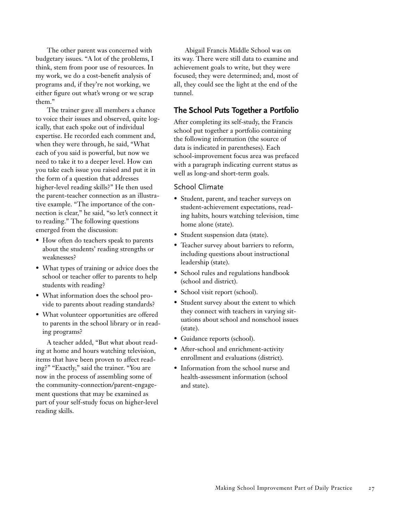The other parent was concerned with budgetary issues. "A lot of the problems, I think, stem from poor use of resources. In my work, we do a cost-benefit analysis of programs and, if they're not working, we either figure out what's wrong or we scrap them."

The trainer gave all members a chance to voice their issues and observed, quite logically, that each spoke out of individual expertise. He recorded each comment and, when they were through, he said, "What each of you said is powerful, but now we need to take it to a deeper level. How can you take each issue you raised and put it in the form of a question that addresses higher-level reading skills?" He then used the parent-teacher connection as an illustrative example. "The importance of the connection is clear," he said, "so let's connect it to reading." The following questions emerged from the discussion:

- How often do teachers speak to parents about the students' reading strengths or weaknesses?
- What types of training or advice does the school or teacher offer to parents to help students with reading?
- What information does the school provide to parents about reading standards?
- What volunteer opportunities are offered to parents in the school library or in reading programs?

A teacher added, "But what about reading at home and hours watching television, items that have been proven to affect reading?" "Exactly," said the trainer. "You are now in the process of assembling some of the community-connection/parent-engagement questions that may be examined as part of your self-study focus on higher-level reading skills.

Abigail Francis Middle School was on its way. There were still data to examine and achievement goals to write, but they were focused; they were determined; and, most of all, they could see the light at the end of the tunnel.

## **The School Puts Together a Portfolio**

After completing its self-study, the Francis school put together a portfolio containing the following information (the source of data is indicated in parentheses). Each school-improvement focus area was prefaced with a paragraph indicating current status as well as long-and short-term goals.

#### School Climate

- Student, parent, and teacher surveys on student-achievement expectations, reading habits, hours watching television, time home alone (state).
- Student suspension data (state).
- Teacher survey about barriers to reform, including questions about instructional leadership (state).
- School rules and regulations handbook (school and district).
- School visit report (school).
- Student survey about the extent to which they connect with teachers in varying situations about school and nonschool issues (state).
- Guidance reports (school).
- After-school and enrichment-activity enrollment and evaluations (district).
- Information from the school nurse and health-assessment information (school and state).